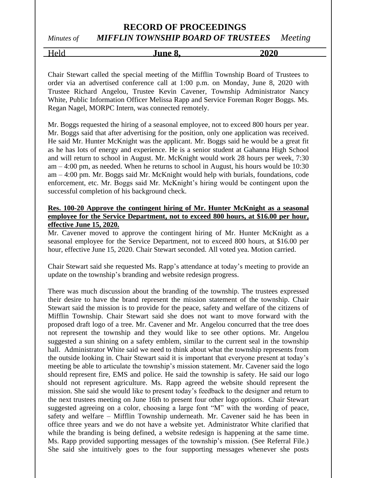## **RECORD OF PROCEEDINGS** *Minutes of MIFFLIN TOWNSHIP BOARD OF TRUSTEES Meeting*

Held **June 8, 2020**

Chair Stewart called the special meeting of the Mifflin Township Board of Trustees to order via an advertised conference call at 1:00 p.m. on Monday, June 8, 2020 with Trustee Richard Angelou, Trustee Kevin Cavener, Township Administrator Nancy White, Public Information Officer Melissa Rapp and Service Foreman Roger Boggs. Ms. Regan Nagel, MORPC Intern, was connected remotely.

Mr. Boggs requested the hiring of a seasonal employee, not to exceed 800 hours per year. Mr. Boggs said that after advertising for the position, only one application was received. He said Mr. Hunter McKnight was the applicant. Mr. Boggs said he would be a great fit as he has lots of energy and experience. He is a senior student at Gahanna High School and will return to school in August. Mr. McKnight would work 28 hours per week, 7:30 am – 4:00 pm, as needed. When he returns to school in August, his hours would be 10:30 am – 4:00 pm. Mr. Boggs said Mr. McKnight would help with burials, foundations, code enforcement, etc. Mr. Boggs said Mr. McKnight's hiring would be contingent upon the successful completion of his background check.

## **Res. 100-20 Approve the contingent hiring of Mr. Hunter McKnight as a seasonal employee for the Service Department, not to exceed 800 hours, at \$16.00 per hour, effective June 15, 2020.**

Mr. Cavener moved to approve the contingent hiring of Mr. Hunter McKnight as a seasonal employee for the Service Department, not to exceed 800 hours, at \$16.00 per hour, effective June 15, 2020. Chair Stewart seconded. All voted yea. Motion carried.

Chair Stewart said she requested Ms. Rapp's attendance at today's meeting to provide an update on the township's branding and website redesign progress.

There was much discussion about the branding of the township. The trustees expressed their desire to have the brand represent the mission statement of the township. Chair Stewart said the mission is to provide for the peace, safety and welfare of the citizens of Mifflin Township. Chair Stewart said she does not want to move forward with the proposed draft logo of a tree. Mr. Cavener and Mr. Angelou concurred that the tree does not represent the township and they would like to see other options. Mr. Angelou suggested a sun shining on a safety emblem, similar to the current seal in the township hall. Administrator White said we need to think about what the township represents from the outside looking in. Chair Stewart said it is important that everyone present at today's meeting be able to articulate the township's mission statement. Mr. Cavener said the logo should represent fire, EMS and police. He said the township is safety. He said our logo should not represent agriculture. Ms. Rapp agreed the website should represent the mission. She said she would like to present today's feedback to the designer and return to the next trustees meeting on June 16th to present four other logo options. Chair Stewart suggested agreeing on a color, choosing a large font "M" with the wording of peace, safety and welfare – Mifflin Township underneath. Mr. Cavener said he has been in office three years and we do not have a website yet. Administrator White clarified that while the branding is being defined, a website redesign is happening at the same time. Ms. Rapp provided supporting messages of the township's mission. (See Referral File.) She said she intuitively goes to the four supporting messages whenever she posts